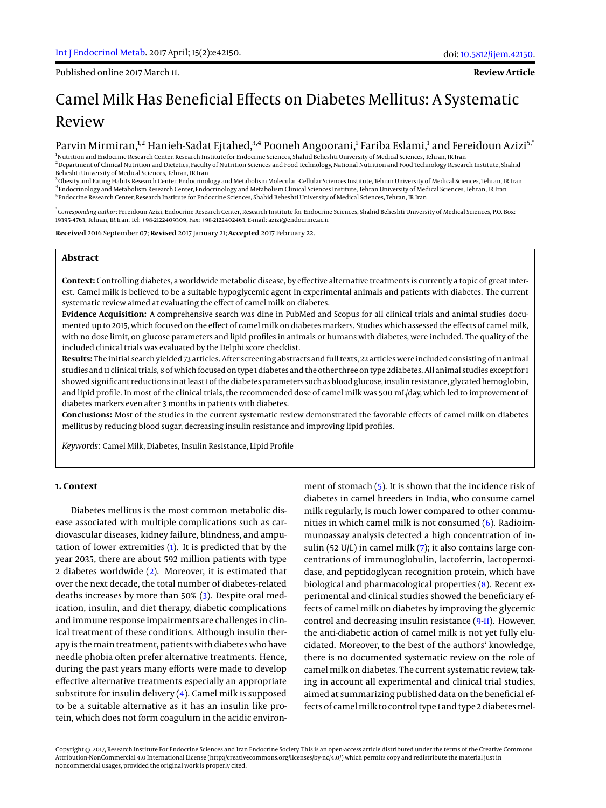Published online 2017 March 11.

**Review Article**

# Camel Milk Has Beneficial Effects on Diabetes Mellitus: A Systematic Review

# Parvin Mirmiran,<sup>1,2</sup> Hanieh-Sadat Ejtahed,<sup>3,4</sup> Pooneh Angoorani,<sup>1</sup> Fariba Eslami,<sup>1</sup> and Fereidoun Azizi<sup>5,\*</sup>

<sup>1</sup>Nutrition and Endocrine Research Center, Research Institute for Endocrine Sciences, Shahid Beheshti University of Medical Sciences, Tehran, IR Iran <sup>2</sup> Department of Clinical Nutrition and Dietetics, Faculty of Nutrition Sciences and Food Technology, National Nutrition and Food Technology Research Institute, Shahid Beheshti University of Medical Sciences, Tehran, IR Iran

<sup>3</sup>Obesity and Eating Habits Research Center, Endocrinology and Metabolism Molecular -Cellular Sciences Institute, Tehran University of Medical Sciences, Tehran, IR Iran 4 Endocrinology and Metabolism Research Center, Endocrinology and Metabolism Clinical Sciences Institute, Tehran University of Medical Sciences, Tehran, IR Iran <sup>5</sup> Endocrine Research Center, Research Institute for Endocrine Sciences, Shahid Beheshti University of Medical Sciences, Tehran, IR Iran

\* *Corresponding author*: Fereidoun Azizi, Endocrine Research Center, Research Institute for Endocrine Sciences, Shahid Beheshti University of Medical Sciences, P.O. Box: 19395-4763, Tehran, IR Iran. Tel: +98-2122409309, Fax: +98-2122402463, E-mail: azizi@endocrine.ac.ir

**Received** 2016 September 07; **Revised** 2017 January 21; **Accepted** 2017 February 22.

#### **Abstract**

**Context:** Controlling diabetes, a worldwide metabolic disease, by effective alternative treatments is currently a topic of great interest. Camel milk is believed to be a suitable hypoglycemic agent in experimental animals and patients with diabetes. The current systematic review aimed at evaluating the effect of camel milk on diabetes.

**Evidence Acquisition:** A comprehensive search was dine in PubMed and Scopus for all clinical trials and animal studies documented up to 2015, which focused on the effect of camel milk on diabetes markers. Studies which assessed the effects of camel milk, with no dose limit, on glucose parameters and lipid profiles in animals or humans with diabetes, were included. The quality of the included clinical trials was evaluated by the Delphi score checklist.

**Results:** The initial search yielded 73 articles. After screening abstracts and full texts, 22 articles were included consisting of 11 animal studies and 11 clinical trials, 8 of which focused on type 1 diabetes and the other three on type 2diabetes. All animal studies except for 1 showed significant reductions in at least 1 of the diabetes parameters such as blood glucose, insulin resistance, glycated hemoglobin, and lipid profile. In most of the clinical trials, the recommended dose of camel milk was 500 mL/day, which led to improvement of diabetes markers even after 3 months in patients with diabetes.

**Conclusions:** Most of the studies in the current systematic review demonstrated the favorable effects of camel milk on diabetes mellitus by reducing blood sugar, decreasing insulin resistance and improving lipid profiles.

*Keywords:* Camel Milk, Diabetes, Insulin Resistance, Lipid Profile

#### **1. Context**

Diabetes mellitus is the most common metabolic disease associated with multiple complications such as cardiovascular diseases, kidney failure, blindness, and amputation of lower extremities [\(1\)](#page-6-0). It is predicted that by the year 2035, there are about 592 million patients with type 2 diabetes worldwide [\(2\)](#page-6-1). Moreover, it is estimated that over the next decade, the total number of diabetes-related deaths increases by more than 50% [\(3\)](#page-6-2). Despite oral medication, insulin, and diet therapy, diabetic complications and immune response impairments are challenges in clinical treatment of these conditions. Although insulin therapy is the main treatment, patients with diabetes who have needle phobia often prefer alternative treatments. Hence, during the past years many efforts were made to develop effective alternative treatments especially an appropriate substitute for insulin delivery [\(4\)](#page-6-3). Camel milk is supposed to be a suitable alternative as it has an insulin like protein, which does not form coagulum in the acidic environ-

ment of stomach [\(5\)](#page-6-4). It is shown that the incidence risk of diabetes in camel breeders in India, who consume camel milk regularly, is much lower compared to other communities in which camel milk is not consumed [\(6\)](#page-6-5). Radioimmunoassay analysis detected a high concentration of insulin (52 U/L) in camel milk [\(7\)](#page-6-6); it also contains large concentrations of immunoglobulin, lactoferrin, lactoperoxidase, and peptidoglycan recognition protein, which have biological and pharmacological properties [\(8\)](#page-6-7). Recent experimental and clinical studies showed the beneficiary effects of camel milk on diabetes by improving the glycemic control and decreasing insulin resistance [\(9](#page-6-8)[-11\)](#page-7-0). However, the anti-diabetic action of camel milk is not yet fully elucidated. Moreover, to the best of the authors' knowledge, there is no documented systematic review on the role of camel milk on diabetes. The current systematic review, taking in account all experimental and clinical trial studies, aimed at summarizing published data on the beneficial effects of camel milk to control type 1 and type 2 diabetes mel-

Copyright © 2017, Research Institute For Endocrine Sciences and Iran Endocrine Society. This is an open-access article distributed under the terms of the Creative Commons Attribution-NonCommercial 4.0 International License (http://creativecommons.org/licenses/by-nc/4.0/) which permits copy and redistribute the material just in noncommercial usages, provided the original work is properly cited.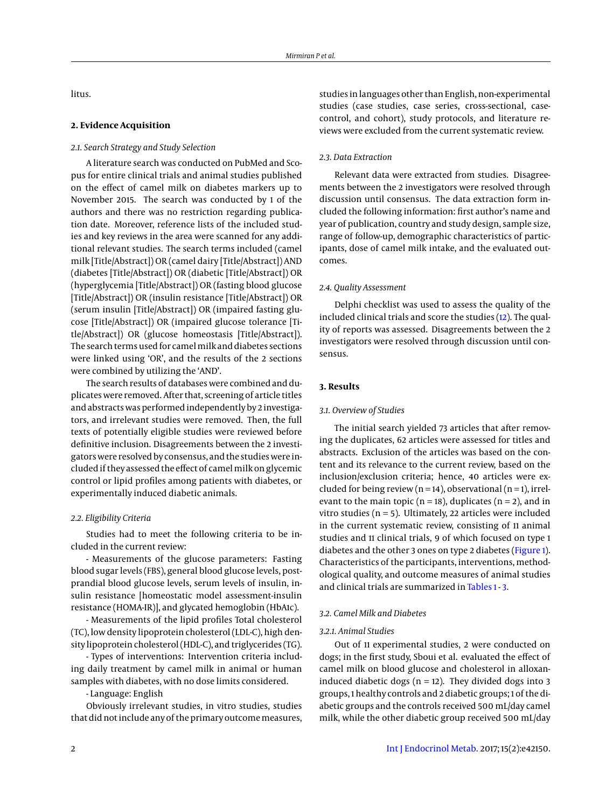litus.

#### **2. Evidence Acquisition**

## *2.1. Search Strategy and Study Selection*

A literature search was conducted on PubMed and Scopus for entire clinical trials and animal studies published on the effect of camel milk on diabetes markers up to November 2015. The search was conducted by 1 of the authors and there was no restriction regarding publication date. Moreover, reference lists of the included studies and key reviews in the area were scanned for any additional relevant studies. The search terms included (camel milk [Title/Abstract]) OR (camel dairy [Title/Abstract]) AND (diabetes [Title/Abstract]) OR (diabetic [Title/Abstract]) OR (hyperglycemia [Title/Abstract]) OR (fasting blood glucose [Title/Abstract]) OR (insulin resistance [Title/Abstract]) OR (serum insulin [Title/Abstract]) OR (impaired fasting glucose [Title/Abstract]) OR (impaired glucose tolerance [Title/Abstract]) OR (glucose homeostasis [Title/Abstract]). The search terms used for camel milk and diabetes sections were linked using 'OR', and the results of the 2 sections were combined by utilizing the 'AND'.

The search results of databases were combined and duplicates were removed. After that, screening of article titles and abstracts was performed independently by 2 investigators, and irrelevant studies were removed. Then, the full texts of potentially eligible studies were reviewed before definitive inclusion. Disagreements between the 2 investigators were resolved by consensus, and the studies were included if they assessed the effect of camel milk on glycemic control or lipid profiles among patients with diabetes, or experimentally induced diabetic animals.

## *2.2. Eligibility Criteria*

Studies had to meet the following criteria to be included in the current review:

- Measurements of the glucose parameters: Fasting blood sugar levels (FBS), general blood glucose levels, postprandial blood glucose levels, serum levels of insulin, insulin resistance [homeostatic model assessment-insulin resistance (HOMA-IR)], and glycated hemoglobin (HbA1c).

- Measurements of the lipid profiles Total cholesterol (TC), low density lipoprotein cholesterol (LDL-C), high density lipoprotein cholesterol (HDL-C), and triglycerides (TG).

- Types of interventions: Intervention criteria including daily treatment by camel milk in animal or human samples with diabetes, with no dose limits considered.

# - Language: English

Obviously irrelevant studies, in vitro studies, studies that did not include any of the primary outcome measures,

studies in languages other than English, non-experimental studies (case studies, case series, cross-sectional, casecontrol, and cohort), study protocols, and literature reviews were excluded from the current systematic review.

#### *2.3. Data Extraction*

Relevant data were extracted from studies. Disagreements between the 2 investigators were resolved through discussion until consensus. The data extraction form included the following information: first author's name and year of publication, country and study design, sample size, range of follow-up, demographic characteristics of participants, dose of camel milk intake, and the evaluated outcomes.

#### *2.4. Quality Assessment*

Delphi checklist was used to assess the quality of the included clinical trials and score the studies [\(12\)](#page-7-1). The quality of reports was assessed. Disagreements between the 2 investigators were resolved through discussion until consensus.

#### **3. Results**

#### *3.1. Overview of Studies*

The initial search yielded 73 articles that after removing the duplicates, 62 articles were assessed for titles and abstracts. Exclusion of the articles was based on the content and its relevance to the current review, based on the inclusion/exclusion criteria; hence, 40 articles were excluded for being review ( $n = 14$ ), observational ( $n = 1$ ), irrelevant to the main topic ( $n = 18$ ), duplicates ( $n = 2$ ), and in vitro studies ( $n = 5$ ). Ultimately, 22 articles were included in the current systematic review, consisting of 11 animal studies and 11 clinical trials, 9 of which focused on type 1 diabetes and the other 3 ones on type 2 diabetes [\(Figure 1\)](#page-4-0). Characteristics of the participants, interventions, methodological quality, and outcome measures of animal studies and clinical trials are summarized in [Tables 1](#page-2-0) - [3.](#page-3-0)

# *3.2. Camel Milk and Diabetes*

# *3.2.1. Animal Studies*

Out of 11 experimental studies, 2 were conducted on dogs; in the first study, Sboui et al. evaluated the effect of camel milk on blood glucose and cholesterol in alloxaninduced diabetic dogs ( $n = 12$ ). They divided dogs into 3 groups, 1 healthy controls and 2 diabetic groups; 1 of the diabetic groups and the controls received 500 mL/day camel milk, while the other diabetic group received 500 mL/day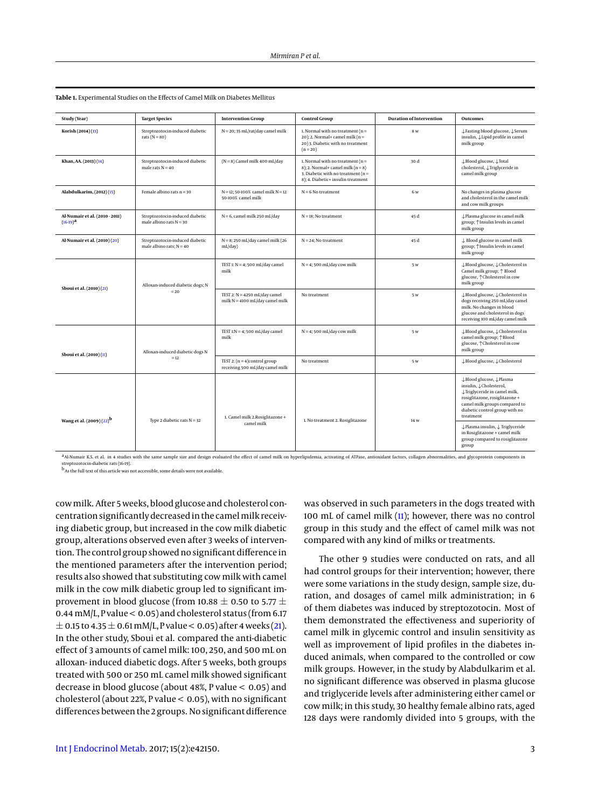| Study (Year)                                    | <b>Target Species</b>                                         | <b>Intervention Group</b>                                            | <b>Control Group</b>                                                                                                                                           | <b>Duration of Intervention</b> | Outcomes                                                                                                                                                                                           |
|-------------------------------------------------|---------------------------------------------------------------|----------------------------------------------------------------------|----------------------------------------------------------------------------------------------------------------------------------------------------------------|---------------------------------|----------------------------------------------------------------------------------------------------------------------------------------------------------------------------------------------------|
| Korish (2014) (13)                              | Streptozotocin-induced diabetic<br>rats ( $N = 80$ )          | $N = 20$ ; 35 mL/rat/day camel milk                                  | 1. Normal with no treatment ( $n =$<br>20); 2. Normal+ camel milk ( $n =$<br>20) 3. Diabetic with no treatment<br>$(n=20)$                                     | 8 w                             | ↓Fasting blood glucose, ↓Serum<br>insulin, Llipid profile in camel<br>milk group                                                                                                                   |
| Khan, AA. (2013) (14)                           | Streptozotocin-induced diabetic<br>male rats $N = 40$         | $(N = 8)$ Camel milk 400 mL/day                                      | 1. Normal with no treatment ( $n =$<br>$8$ ); 2. Normal+ camel milk ( $n = 8$ )<br>3. Diabetic with no treatment ( $n =$<br>8); 4. Diabetic+ insulin treatment | 30 d                            | ↓Blood glucose, ↓Total<br>cholesterol, $\downarrow$ Triglyceride in<br>camel milk group                                                                                                            |
| Alabdulkarim, (2012) (15)                       | Female albino rats $n = 30$                                   | $N = 12$ : 50-100% camel milk $N = 12$<br>50-100% camel milk         | $N = 6$ No treatment                                                                                                                                           | 6 w                             | No changes in plasma glucose<br>and cholesterol in the camel milk<br>and cow milk groups                                                                                                           |
| Al-Numair et al. (2010 - 2011)<br>$(16-19)^{a}$ | Streptozotocin-induced diabetic<br>male albino rats $N = 30$  | $N = 6$ , camel milk 250 mL/day                                      | $N = 18$ : No treatment                                                                                                                                        | 45 d                            | ↓ Plasma glucose in camel milk<br>group; $\uparrow$ Insulin levels in camel<br>milk group                                                                                                          |
| Al-Numair et al. (2010)(20)                     | Streptozotocin-induced diabetic<br>male albino rats: $N = 40$ | $N = 8$ ; 250 mL/day camel milk (26<br>mL/day)                       | $N = 24$ ; No treatment                                                                                                                                        | 45 d                            | $\downarrow$ Blood glucose in camel milk<br>group; $\uparrow$ Insulin levels in camel<br>milk group                                                                                                |
| Sboui et al. (2010)(21)                         | Alloxan-induced diabetic dogs; N<br>$=20$                     | TEST 1: $N = 4$ ; 500 mL/day camel<br>milk                           | $N = 4$ ; 500 mL/day cow milk                                                                                                                                  | 5 w                             | ↓Blood glucose, ↓Cholesterol in<br>Camel milk group; $\uparrow$ Blood<br>glucose, <sup>^</sup> Cholesterol in cow<br>milk group                                                                    |
|                                                 |                                                               | TEST 2: $N = 4250$ mL/day camel<br>milk $N = 4100$ mL/day camel milk | No treatment                                                                                                                                                   | 5 w                             | ↓Blood glucose, ↓Cholesterol in<br>dogs receiving 250 mL/day camel<br>milk. No changes in blood<br>glucose and cholesterol in dogs<br>receiving 100 mL/day camel milk                              |
| Sboui et al. (2010) (11)                        | Alloxan-induced diabetic dogs N<br>$=12$                      | TEST $1:N = 4$ ; 500 mL/day camel<br>milk                            | $N = 4$ ; 500 mL/day cow milk                                                                                                                                  | 5 w                             | ↓Blood glucose, ↓Cholesterol in<br>camel milk group; <sup>+</sup> Blood<br>glucose, <sup>^</sup> Cholesterol in cow<br>milk group                                                                  |
|                                                 |                                                               | TEST 2: $(n = 4)$ control group<br>receiving 500 mL/day camel milk   | No treatment                                                                                                                                                   | 5 w                             | ↓Blood glucose, ↓Cholesterol                                                                                                                                                                       |
| Wang et al. (2009)(22) <sup>b</sup>             | Type 2 diabetic rats $N = 32$                                 | 1. Camel milk 2. Rosiglitazone +<br>camel milk                       | 1. No treatment 2. Rosiglitazone                                                                                                                               | 14 w                            | ↓Blood glucose, ↓Plasma<br>insulin, LCholesterol,<br>↓Triglyceride in camel milk,<br>rosiglitazone, rosiglitazone+<br>camel milk groups compared to<br>diabetic control group with no<br>treatment |
|                                                 |                                                               |                                                                      |                                                                                                                                                                |                                 | ↓Plasma insulin, ↓ Triglyceride<br>in Rosiglitazone + camel milk<br>group compared to rosiglitazone<br>group                                                                                       |

<span id="page-2-0"></span>**Table 1.** Experimental Studies on the Effects of Camel Milk on Diabetes Mellitus

a Al-Numair K.S. et al. in 4 studies with the same sample size and design evaluated the effect of camel milk on hyperlipidemia, activating of ATPase, antioxidant factors, collagen abnormalities, and glycoprotein components streptor in the common<br>ocin-diabetic rats (16-19)

b As the full text of this article was not accessible, some details were not available.

cow milk. After 5 weeks, blood glucose and cholesterol concentration significantly decreased in the camel milk receiving diabetic group, but increased in the cow milk diabetic group, alterations observed even after 3 weeks of intervention. The control group showed no significant difference in the mentioned parameters after the intervention period; results also showed that substituting cow milk with camel milk in the cow milk diabetic group led to significant improvement in blood glucose (from 10.88  $\pm$  0.50 to 5.77  $\pm$ 0.44 mM/L, P value < 0.05) and cholesterol status (from 6.17  $\pm$  0.15 to 4.35  $\pm$  0.61 mM/L, P value < 0.05) after 4 weeks [\(21\)](#page-7-8). In the other study, Sboui et al. compared the anti-diabetic effect of 3 amounts of camel milk: 100, 250, and 500 mL on alloxan- induced diabetic dogs. After 5 weeks, both groups treated with 500 or 250 mL camel milk showed significant decrease in blood glucose (about 48%, P value < 0.05) and cholesterol (about 22%, P value < 0.05), with no significant differences between the 2 groups. No significant difference

was observed in such parameters in the dogs treated with 100 mL of camel milk [\(11\)](#page-7-0); however, there was no control group in this study and the effect of camel milk was not compared with any kind of milks or treatments.

The other 9 studies were conducted on rats, and all had control groups for their intervention; however, there were some variations in the study design, sample size, duration, and dosages of camel milk administration; in 6 of them diabetes was induced by streptozotocin. Most of them demonstrated the effectiveness and superiority of camel milk in glycemic control and insulin sensitivity as well as improvement of lipid profiles in the diabetes induced animals, when compared to the controlled or cow milk groups. However, in the study by Alabdulkarim et al. no significant difference was observed in plasma glucose and triglyceride levels after administering either camel or cow milk; in this study, 30 healthy female albino rats, aged 128 days were randomly divided into 5 groups, with the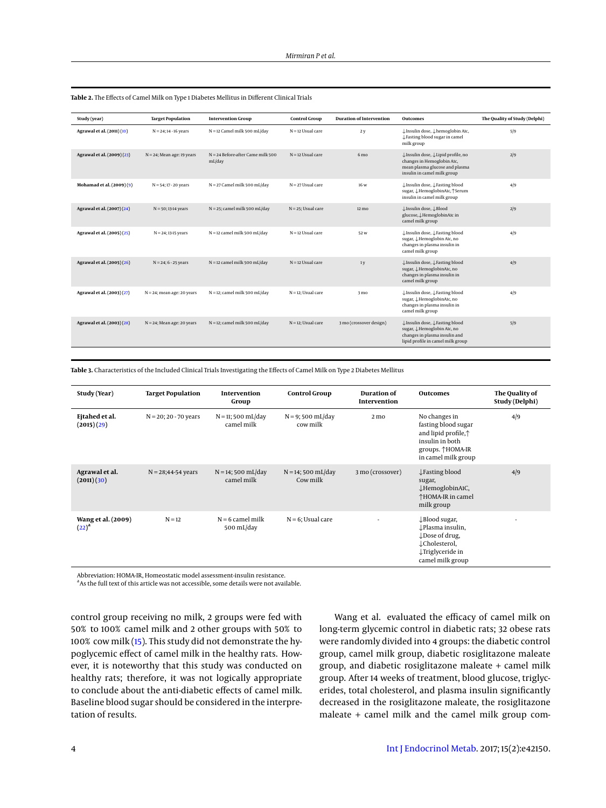| Study (year)               | <b>Target Population</b>      | <b>Intervention Group</b>                     | <b>Control Group</b>  | <b>Duration of Intervention</b> | <b>Outcomes</b>                                                                                                                     | The Quality of Study (Delphi) |
|----------------------------|-------------------------------|-----------------------------------------------|-----------------------|---------------------------------|-------------------------------------------------------------------------------------------------------------------------------------|-------------------------------|
| Agrawal et al. (2011)(10)  | $N = 24$ ; 14 - 16 years      | $N = 12$ Camel milk 500 mL/day                | $N = 12$ Usual care   | 2y                              | ↓Insulin dose, ↓hemoglobin A1c,<br>↓Fasting blood sugar in camel<br>milk group                                                      | 5/9                           |
| Agrawal et al. (2009)(23)  | $N = 24$ ; Mean age: 19 years | $N = 24$ Before-after Came milk 500<br>mL/day | $N = 12$ Usual care   | 6 <sub>mo</sub>                 | ↓Insulin dose, ↓Lipid profile, no<br>changes in Hemoglobin Atc,<br>mean plasma glucose and plasma<br>insulin in camel milk group    | 2/9                           |
| Mohamad et al. (2009)(9)   | $N = 54$ ; 17 - 20 years      | $N = 27$ Camel milk 500 mL/day                | $N = 27$ Usual care   | 16 w                            | ↓Insulin dose, ↓Fasting blood<br>sugar, J.HemoglobinA1c, TSerum<br>insulin in camel milk group                                      | 4/9                           |
| Agrawal et al. (2007) (24) | $N = 50$ ; 13-14 years        | $N = 25$ ; camel milk 500 mL/day              | $N = 25$ ; Usual care | 12 mo                           | ↓Insulin dose, ↓Blood<br>glucose, LHemoglobinAtc in<br>camel milk group                                                             | 2/9                           |
| Agrawal et al. (2005) (25) | $N = 24$ ; 13-15 years        | $N = 12$ camel milk 500 mL/day                | $N = 12$ Usual care   | 52 w                            | ↓Insulin dose, ↓Fasting blood<br>sugar, J.Hemoglobin Atc, no<br>changes in plasma insulin in<br>camel milk group                    | 4/9                           |
| Agrawal et al. (2005)(26)  | $N = 24$ ; $6 - 25$ years     | $N = 12$ camel milk 500 mL/day                | $N = 12$ Usual care   | 1 <sub>V</sub>                  | ↓Insulin dose, ↓Fasting blood<br>sugar, J.HemoglobinA1c, no<br>changes in plasma insulin in<br>camel milk group                     | 4/9                           |
| Agrawal et al. (2003) (27) | $N = 24$ ; mean age: 20 years | $N = 12$ ; camel milk 500 mL/day              | $N = 12$ : Usual care | 3 mo                            | ↓Insulin dose, ↓Fasting blood<br>sugar, J.HemoglobinA1c, no<br>changes in plasma insulin in<br>camel milk group                     | 4/9                           |
| Agrawal et al. (2003) (28) | $N = 24$ ; Mean age: 20 years | $N = 12$ ; camel milk 500 mL/day              | $N = 12$ : Usual care | 3 mo (crossover design)         | ↓Insulin dose, ↓Fasting blood<br>sugar, J. Hemoglobin AIc, no<br>changes in plasma insulin and<br>lipid profile in camel milk group | 5/9                           |

**Table 2.** The Effects of Camel Milk on Type 1 Diabetes Mellitus in Different Clinical Trials

<span id="page-3-0"></span>**Table 3.** Characteristics of the Included Clinical Trials Investigating the Effects of Camel Milk on Type 2 Diabetes Mellitus

| Study (Year)                     | <b>Target Population</b> | Intervention<br>Group               | <b>Control Group</b>                   | Duration of<br>Intervention | <b>Outcomes</b>                                                                                                                                           | The Quality of<br>Study (Delphi) |
|----------------------------------|--------------------------|-------------------------------------|----------------------------------------|-----------------------------|-----------------------------------------------------------------------------------------------------------------------------------------------------------|----------------------------------|
| Ejtahed et al.<br>(2015)(29)     | $N = 20$ ; 20 - 70 years | $N = 11$ ; 500 mL/day<br>camel milk | $N = 9;500 \text{ mL/day}$<br>cow milk | 2 <sub>mo</sub>             | No changes in<br>fasting blood sugar<br>and lipid profile, <sup><math>\uparrow</math></sup><br>insulin in both<br>groups. ↑HOMA-IR<br>in camel milk group | 4/9                              |
| Agrawal et al.<br>(2011)(30)     | $N = 28;44-54$ years     | $N = 14$ ; 500 mL/day<br>camel milk | $N = 14$ ; 500 mL/day<br>Cow milk      | 3 mo (crossover)            | $\downarrow$ Fasting blood<br>sugar,<br>↓HemoglobinA1C,<br>↑HOMA-IR in camel<br>milk group                                                                | 4/9                              |
| Wang et al. (2009)<br>$(22)^{a}$ | $N = 12$                 | $N = 6$ camel milk<br>500 mL/day    | $N = 6$ ; Usual care                   |                             | $\downarrow$ Blood sugar,<br>↓Plasma insulin,<br>$\downarrow$ Dose of drug,<br>↓Cholesterol,<br>↓Triglyceride in<br>camel milk group                      |                                  |

Abbreviation: HOMA-IR, Homeostatic model assessment-insulin resistance.

<sup>a</sup> As the full text of this article was not accessible, some details were not available.

control group receiving no milk, 2 groups were fed with 50% to 100% camel milk and 2 other groups with 50% to 100% cow milk [\(15\)](#page-7-4). This study did not demonstrate the hypoglycemic effect of camel milk in the healthy rats. However, it is noteworthy that this study was conducted on healthy rats; therefore, it was not logically appropriate to conclude about the anti-diabetic effects of camel milk. Baseline blood sugar should be considered in the interpretation of results.

Wang et al. evaluated the efficacy of camel milk on long-term glycemic control in diabetic rats; 32 obese rats were randomly divided into 4 groups: the diabetic control group, camel milk group, diabetic rosiglitazone maleate group, and diabetic rosiglitazone maleate + camel milk group. After 14 weeks of treatment, blood glucose, triglycerides, total cholesterol, and plasma insulin significantly decreased in the rosiglitazone maleate, the rosiglitazone maleate + camel milk and the camel milk group com-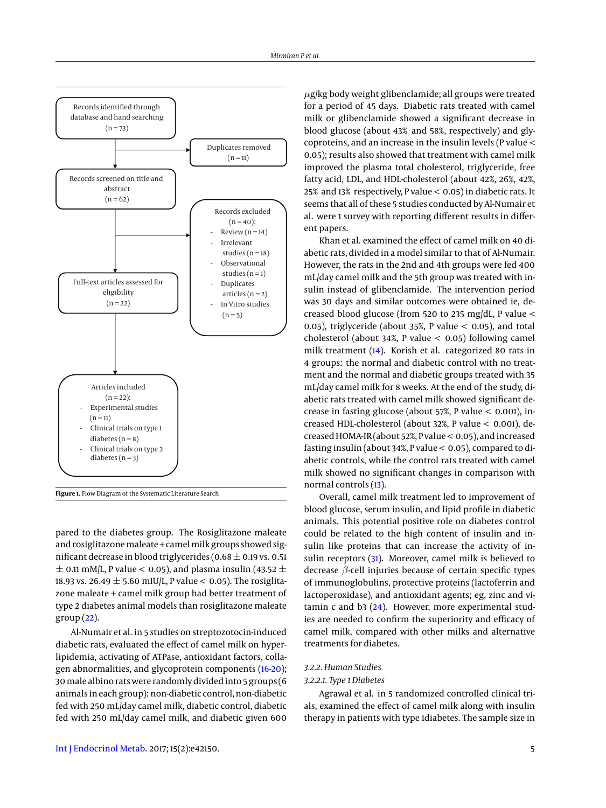<span id="page-4-0"></span>

**Figure 1.** Flow Diagram of the Systematic Literature Search

pared to the diabetes group. The Rosiglitazone maleate and rosiglitazone maleate + camel milk groups showed significant decrease in blood triglycerides (0.68  $\pm$  0.19 vs. 0.51  $\pm$  0.11 mM/L, P value < 0.05), and plasma insulin (43.52  $\pm$ 18.93 vs. 26.49  $\pm$  5.60 mIU/L, P value < 0.05). The rosiglitazone maleate + camel milk group had better treatment of type 2 diabetes animal models than rosiglitazone maleate  $group(22)$  $group(22)$ .

Al-Numair et al. in 5 studies on streptozotocin-induced diabetic rats, evaluated the effect of camel milk on hyperlipidemia, activating of ATPase, antioxidant factors, collagen abnormalities, and glycoprotein components [\(16-](#page-7-5)[20\)](#page-7-7); 30 male albino rats were randomly divided into 5 groups (6 animals in each group): non-diabetic control, non-diabetic fed with 250 mL/day camel milk, diabetic control, diabetic fed with 250 mL/day camel milk, and diabetic given 600

[Int J Endocrinol Metab.](http://endometabol.com/) 2017; 15(2):e42150. 5

 $\mu$ g/kg body weight glibenclamide; all groups were treated for a period of 45 days. Diabetic rats treated with camel milk or glibenclamide showed a significant decrease in blood glucose (about 43% and 58%, respectively) and glycoproteins, and an increase in the insulin levels (P value < 0.05); results also showed that treatment with camel milk improved the plasma total cholesterol, triglyceride, free fatty acid, LDL, and HDL-cholesterol (about 42%, 26%, 42%, 25% and 13% respectively, P value < 0.05) in diabetic rats. It seems that all of these 5 studies conducted by Al-Numair et al. were 1 survey with reporting different results in different papers.

Khan et al. examined the effect of camel milk on 40 diabetic rats, divided in a model similar to that of Al-Numair. However, the rats in the 2nd and 4th groups were fed 400 mL/day camel milk and the 5th group was treated with insulin instead of glibenclamide. The intervention period was 30 days and similar outcomes were obtained ie, decreased blood glucose (from 520 to 235 mg/dL, P value < 0.05), triglyceride (about 35%, P value  $<$  0.05), and total cholesterol (about 34%, P value < 0.05) following camel milk treatment [\(14\)](#page-7-3). Korish et al. categorized 80 rats in 4 groups: the normal and diabetic control with no treatment and the normal and diabetic groups treated with 35 mL/day camel milk for 8 weeks. At the end of the study, diabetic rats treated with camel milk showed significant decrease in fasting glucose (about 57%, P value < 0.001), increased HDL-cholesterol (about 32%, P value < 0.001), decreased HOMA-IR (about 52%, P value < 0.05), and increased fasting insulin (about 34%, P value < 0.05), compared to diabetic controls, while the control rats treated with camel milk showed no significant changes in comparison with normal controls [\(13\)](#page-7-2).

Overall, camel milk treatment led to improvement of blood glucose, serum insulin, and lipid profile in diabetic animals. This potential positive role on diabetes control could be related to the high content of insulin and insulin like proteins that can increase the activity of in-sulin receptors [\(31\)](#page-7-19). Moreover, camel milk is believed to decrease  $\beta$ -cell injuries because of certain specific types of immunoglobulins, protective proteins (lactoferrin and lactoperoxidase), and antioxidant agents; eg, zinc and vitamin c and b3 [\(24\)](#page-7-12). However, more experimental studies are needed to confirm the superiority and efficacy of camel milk, compared with other milks and alternative treatments for diabetes.

### *3.2.2. Human Studies*

#### *3.2.2.1. Type 1 Diabetes*

Agrawal et al. in 5 randomized controlled clinical trials, examined the effect of camel milk along with insulin therapy in patients with type 1diabetes. The sample size in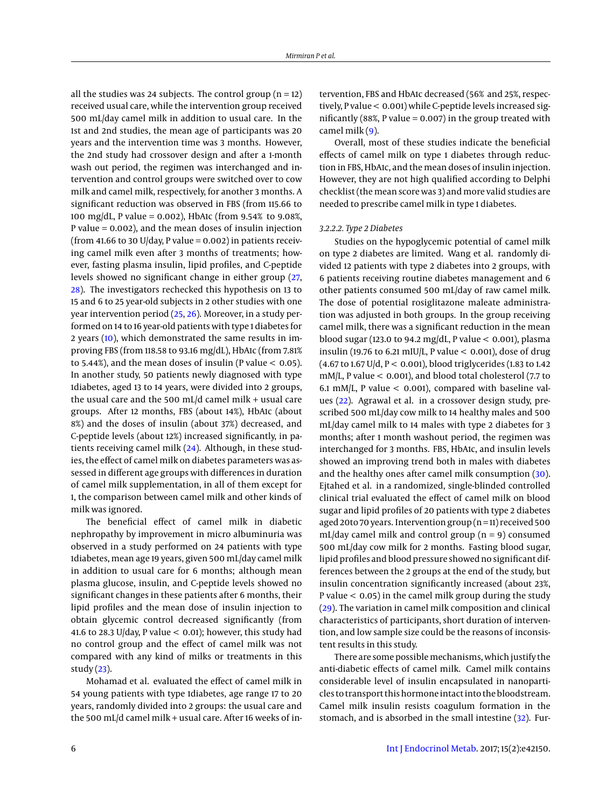all the studies was 24 subjects. The control group ( $n = 12$ ) received usual care, while the intervention group received 500 mL/day camel milk in addition to usual care. In the 1st and 2nd studies, the mean age of participants was 20 years and the intervention time was 3 months. However, the 2nd study had crossover design and after a 1-month wash out period, the regimen was interchanged and intervention and control groups were switched over to cow milk and camel milk, respectively, for another 3 months. A significant reduction was observed in FBS (from 115.66 to 100 mg/dL, P value = 0.002), HbA1c (from 9.54% to 9.08%, P value = 0.002), and the mean doses of insulin injection (from 41.66 to 30 U/day, P value =  $0.002$ ) in patients receiving camel milk even after 3 months of treatments; however, fasting plasma insulin, lipid profiles, and C-peptide levels showed no significant change in either group [\(27,](#page-7-15) [28\)](#page-7-16). The investigators rechecked this hypothesis on 13 to 15 and 6 to 25 year-old subjects in 2 other studies with one year intervention period [\(25,](#page-7-13) [26\)](#page-7-14). Moreover, in a study performed on 14 to 16 year-old patients with type 1 diabetes for 2 years [\(10\)](#page-7-10), which demonstrated the same results in improving FBS (from 118.58 to 93.16 mg/dL), HbA1c (from 7.81% to 5.44%), and the mean doses of insulin (P value  $<$  0.05). In another study, 50 patients newly diagnosed with type 1diabetes, aged 13 to 14 years, were divided into 2 groups, the usual care and the 500 mL/d camel milk + usual care groups. After 12 months, FBS (about 14%), HbA1c (about 8%) and the doses of insulin (about 37%) decreased, and C-peptide levels (about 12%) increased significantly, in patients receiving camel milk [\(24\)](#page-7-12). Although, in these studies, the effect of camel milk on diabetes parameters was assessed in different age groups with differences in duration of camel milk supplementation, in all of them except for 1, the comparison between camel milk and other kinds of milk was ignored.

The beneficial effect of camel milk in diabetic nephropathy by improvement in micro albuminuria was observed in a study performed on 24 patients with type 1diabetes, mean age 19 years, given 500 mL/day camel milk in addition to usual care for 6 months; although mean plasma glucose, insulin, and C-peptide levels showed no significant changes in these patients after 6 months, their lipid profiles and the mean dose of insulin injection to obtain glycemic control decreased significantly (from 41.6 to 28.3 U/day, P value  $< 0.01$ ); however, this study had no control group and the effect of camel milk was not compared with any kind of milks or treatments in this study [\(23\)](#page-7-11).

Mohamad et al. evaluated the effect of camel milk in 54 young patients with type 1diabetes, age range 17 to 20 years, randomly divided into 2 groups: the usual care and the 500 mL/d camel milk + usual care. After 16 weeks of intervention, FBS and HbA1c decreased (56% and 25%, respectively, P value < 0.001) while C-peptide levels increased significantly (88%, P value =  $0.007$ ) in the group treated with camel milk  $(9)$ .

Overall, most of these studies indicate the beneficial effects of camel milk on type 1 diabetes through reduction in FBS, HbA1c, and the mean doses of insulin injection. However, they are not high qualified according to Delphi checklist (the mean score was 3) and more valid studies are needed to prescribe camel milk in type 1 diabetes.

#### *3.2.2.2. Type 2 Diabetes*

Studies on the hypoglycemic potential of camel milk on type 2 diabetes are limited. Wang et al. randomly divided 12 patients with type 2 diabetes into 2 groups, with 6 patients receiving routine diabetes management and 6 other patients consumed 500 mL/day of raw camel milk. The dose of potential rosiglitazone maleate administration was adjusted in both groups. In the group receiving camel milk, there was a significant reduction in the mean blood sugar (123.0 to 94.2 mg/dL, P value < 0.001), plasma insulin (19.76 to 6.21 mIU/L, P value  $<$  0.001), dose of drug  $(4.67 \text{ to } 1.67 \text{ U/d}, P < 0.001)$ , blood triglycerides (1.83 to 1.42) mM/L, P value < 0.001), and blood total cholesterol (7.7 to 6.1 mM/L, P value  $<$  0.001), compared with baseline values [\(22\)](#page-7-9). Agrawal et al. in a crossover design study, prescribed 500 mL/day cow milk to 14 healthy males and 500 mL/day camel milk to 14 males with type 2 diabetes for 3 months; after 1 month washout period, the regimen was interchanged for 3 months. FBS, HbA1c, and insulin levels showed an improving trend both in males with diabetes and the healthy ones after camel milk consumption [\(30\)](#page-7-18). Ejtahed et al. in a randomized, single-blinded controlled clinical trial evaluated the effect of camel milk on blood sugar and lipid profiles of 20 patients with type 2 diabetes aged 20to 70 years. Intervention group (n = 11) received 500 mL/day camel milk and control group ( $n = 9$ ) consumed 500 mL/day cow milk for 2 months. Fasting blood sugar, lipid profiles and blood pressure showed no significant differences between the 2 groups at the end of the study, but insulin concentration significantly increased (about 23%, P value < 0.05) in the camel milk group during the study [\(29\)](#page-7-17). The variation in camel milk composition and clinical characteristics of participants, short duration of intervention, and low sample size could be the reasons of inconsistent results in this study.

There are some possible mechanisms, which justify the anti-diabetic effects of camel milk. Camel milk contains considerable level of insulin encapsulated in nanoparticles to transport this hormone intact into the bloodstream. Camel milk insulin resists coagulum formation in the stomach, and is absorbed in the small intestine [\(32\)](#page-7-20). Fur-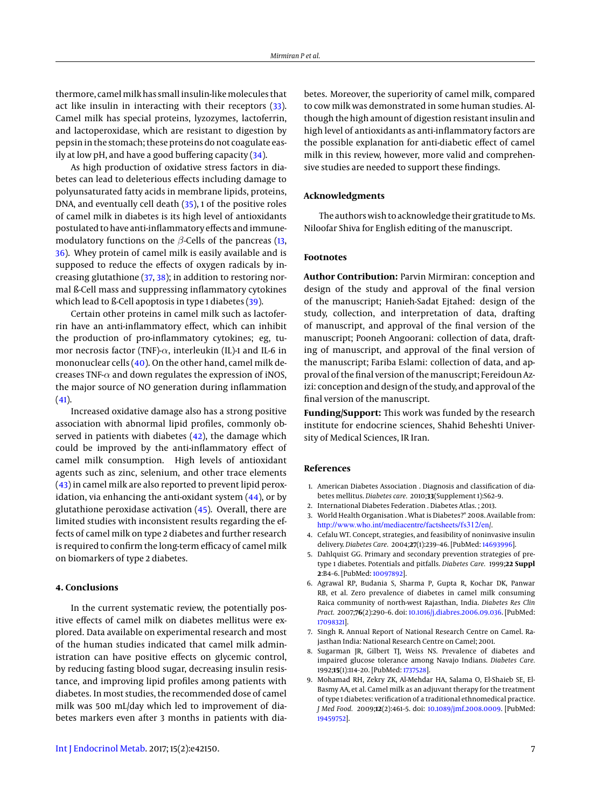thermore, camel milk has small insulin-like molecules that act like insulin in interacting with their receptors [\(33\)](#page-7-21). Camel milk has special proteins, lyzozymes, lactoferrin, and lactoperoxidase, which are resistant to digestion by pepsin in the stomach; these proteins do not coagulate easily at low pH, and have a good buffering capacity [\(34\)](#page-7-22).

As high production of oxidative stress factors in diabetes can lead to deleterious effects including damage to polyunsaturated fatty acids in membrane lipids, proteins, DNA, and eventually cell death [\(35\)](#page-7-23), 1 of the positive roles of camel milk in diabetes is its high level of antioxidants postulated to have anti-inflammatory effects and immunemodulatory functions on the  $\beta$ -Cells of the pancreas [\(13,](#page-7-2) [36\)](#page-7-24). Whey protein of camel milk is easily available and is supposed to reduce the effects of oxygen radicals by increasing glutathione [\(37,](#page-7-25) [38\)](#page-7-26); in addition to restoring normal ß-Cell mass and suppressing inflammatory cytokines which lead to ß-Cell apoptosis in type 1 diabetes [\(39\)](#page-7-27).

Certain other proteins in camel milk such as lactoferrin have an anti-inflammatory effect, which can inhibit the production of pro-inflammatory cytokines; eg, tumor necrosis factor (TNF)- $\alpha$ , interleukin (IL)-1 and IL-6 in mononuclear cells [\(40\)](#page-7-28). On the other hand, camel milk decreases TNF- $\alpha$  and down regulates the expression of iNOS, the major source of NO generation during inflammation  $(41)$ .

Increased oxidative damage also has a strong positive association with abnormal lipid profiles, commonly observed in patients with diabetes  $(42)$ , the damage which could be improved by the anti-inflammatory effect of camel milk consumption. High levels of antioxidant agents such as zinc, selenium, and other trace elements [\(43\)](#page-7-31) in camel milk are also reported to prevent lipid peroxidation, via enhancing the anti-oxidant system [\(44\)](#page-7-32), or by glutathione peroxidase activation [\(45\)](#page-7-33). Overall, there are limited studies with inconsistent results regarding the effects of camel milk on type 2 diabetes and further research is required to confirm the long-term efficacy of camel milk on biomarkers of type 2 diabetes.

# **4. Conclusions**

In the current systematic review, the potentially positive effects of camel milk on diabetes mellitus were explored. Data available on experimental research and most of the human studies indicated that camel milk administration can have positive effects on glycemic control, by reducing fasting blood sugar, decreasing insulin resistance, and improving lipid profiles among patients with diabetes. In most studies, the recommended dose of camel milk was 500 mL/day which led to improvement of diabetes markers even after 3 months in patients with dia-

[Int J Endocrinol Metab.](http://endometabol.com/) 2017; 15(2):e42150. 7

betes. Moreover, the superiority of camel milk, compared to cow milk was demonstrated in some human studies. Although the high amount of digestion resistant insulin and high level of antioxidants as anti-inflammatory factors are the possible explanation for anti-diabetic effect of camel milk in this review, however, more valid and comprehensive studies are needed to support these findings.

#### **Acknowledgments**

The authors wish to acknowledge their gratitude to Ms. Niloofar Shiva for English editing of the manuscript.

### **Footnotes**

**Author Contribution:** Parvin Mirmiran: conception and design of the study and approval of the final version of the manuscript; Hanieh-Sadat Ejtahed: design of the study, collection, and interpretation of data, drafting of manuscript, and approval of the final version of the manuscript; Pooneh Angoorani: collection of data, drafting of manuscript, and approval of the final version of the manuscript; Fariba Eslami: collection of data, and approval of the final version of the manuscript; Fereidoun Azizi: conception and design of the study, and approval of the final version of the manuscript.

**Funding/Support:** This work was funded by the research institute for endocrine sciences, Shahid Beheshti University of Medical Sciences, IR Iran.

#### **References**

- <span id="page-6-0"></span>1. American Diabetes Association . Diagnosis and classification of diabetes mellitus. *Diabetes care.* 2010;**33**(Supplement 1):S62–9.
- <span id="page-6-1"></span>2. International Diabetes Federation . Diabetes Atlas. ; 2013.
- <span id="page-6-2"></span>3. World Health Organisation . What is Diabetes?" 2008. Available from: <http://www.who.int/mediacentre/factsheets/fs312/en>/.
- <span id="page-6-3"></span>4. Cefalu WT. Concept, strategies, and feasibility of noninvasive insulin delivery. *Diabetes Care.* 2004;**27**(1):239–46. [PubMed: [14693996\]](http://www.ncbi.nlm.nih.gov/pubmed/14693996).
- <span id="page-6-4"></span>5. Dahlquist GG. Primary and secondary prevention strategies of pretype 1 diabetes. Potentials and pitfalls. *Diabetes Care.* 1999;**22 Suppl 2**:B4–6. [PubMed: [10097892\]](http://www.ncbi.nlm.nih.gov/pubmed/10097892).
- <span id="page-6-5"></span>6. Agrawal RP, Budania S, Sharma P, Gupta R, Kochar DK, Panwar RB, et al. Zero prevalence of diabetes in camel milk consuming Raica community of north-west Rajasthan, India. *Diabetes Res Clin Pract.* 2007;**76**(2):290–6. doi: [10.1016/j.diabres.2006.09.036.](http://dx.doi.org/10.1016/j.diabres.2006.09.036) [PubMed: [17098321\]](http://www.ncbi.nlm.nih.gov/pubmed/17098321).
- <span id="page-6-6"></span>7. Singh R. Annual Report of National Research Centre on Camel. Rajasthan India: National Research Centre on Camel; 2001.
- <span id="page-6-7"></span>8. Sugarman JR, Gilbert TJ, Weiss NS. Prevalence of diabetes and impaired glucose tolerance among Navajo Indians. *Diabetes Care.* 1992;**15**(1):114–20. [PubMed: [1737528\]](http://www.ncbi.nlm.nih.gov/pubmed/1737528).
- <span id="page-6-8"></span>9. Mohamad RH, Zekry ZK, Al-Mehdar HA, Salama O, El-Shaieb SE, El-Basmy AA, et al. Camel milk as an adjuvant therapy for the treatment of type 1 diabetes: verification of a traditional ethnomedical practice. *J Med Food.* 2009;**12**(2):461–5. doi: [10.1089/jmf.2008.0009.](http://dx.doi.org/10.1089/jmf.2008.0009) [PubMed: [19459752\]](http://www.ncbi.nlm.nih.gov/pubmed/19459752).